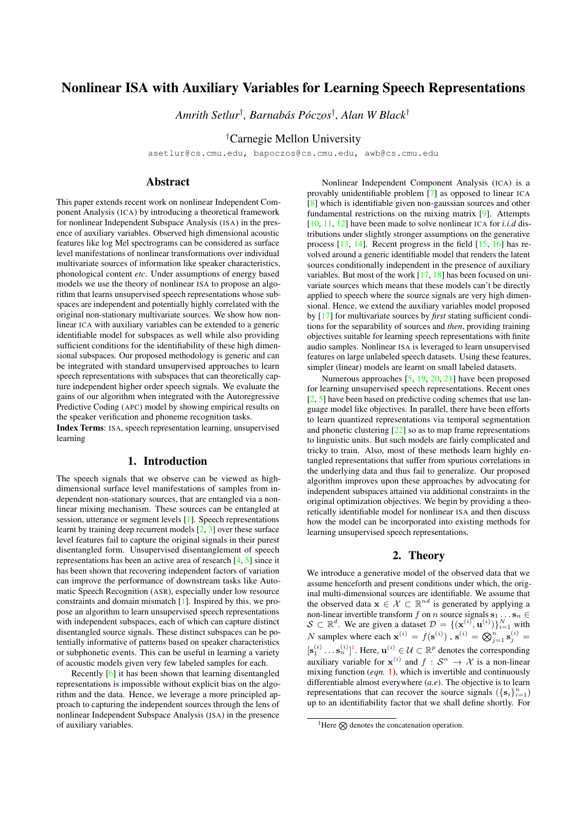# Nonlinear ISA with Auxiliary Variables for Learning Speech Representations

*Amrith Setlur*† *, Barnabas P ´ oczos ´* † *, Alan W Black*†

†Carnegie Mellon University

asetlur@cs.cmu.edu, bapoczos@cs.cmu.edu, awb@cs.cmu.edu

### Abstract

This paper extends recent work on nonlinear Independent Component Analysis (ICA) by introducing a theoretical framework for nonlinear Independent Subspace Analysis (ISA) in the presence of auxiliary variables. Observed high dimensional acoustic features like log Mel spectrograms can be considered as surface level manifestations of nonlinear transformations over individual multivariate sources of information like speaker characteristics, phonological content *etc*. Under assumptions of energy based models we use the theory of nonlinear ISA to propose an algorithm that learns unsupervised speech representations whose subspaces are independent and potentially highly correlated with the original non-stationary multivariate sources. We show how nonlinear ICA with auxiliary variables can be extended to a generic identifiable model for subspaces as well while also providing sufficient conditions for the identifiability of these high dimensional subspaces. Our proposed methodology is generic and can be integrated with standard unsupervised approaches to learn speech representations with subspaces that can theoretically capture independent higher order speech signals. We evaluate the gains of our algorithm when integrated with the Autoregressive Predictive Coding (APC) model by showing empirical results on the speaker verification and phoneme recognition tasks.

Index Terms: ISA, speech representation learning, unsupervised learning

## 1. Introduction

The speech signals that we observe can be viewed as highdimensional surface level manifestations of samples from independent non-stationary sources, that are entangled via a nonlinear mixing mechanism. These sources can be entangled at session, utterance or segment levels [\[1\]](#page-4-0). Speech representations learnt by training deep recurrent models [\[2,](#page-4-1) [3\]](#page-4-2) over these surface level features fail to capture the original signals in their purest disentangled form. Unsupervised disentanglement of speech representations has been an active area of research [\[4,](#page-4-3) [5\]](#page-4-4) since it has been shown that recovering independent factors of variation can improve the performance of downstream tasks like Automatic Speech Recognition (ASR), especially under low resource constraints and domain mismatch [\[1\]](#page-4-0). Inspired by this, we propose an algorithm to learn unsupervised speech representations with independent subspaces, each of which can capture distinct disentangled source signals. These distinct subspaces can be potentially informative of patterns based on speaker characteristics or subphonetic events. This can be useful in learning a variety of acoustic models given very few labeled samples for each.

Recently [\[6\]](#page-4-5) it has been shown that learning disentangled representations is impossible without explicit bias on the algorithm and the data. Hence, we leverage a more principled approach to capturing the independent sources through the lens of nonlinear Independent Subspace Analysis (ISA) in the presence of auxiliary variables.

Nonlinear Independent Component Analysis (ICA) is a provably unidentifiable problem [\[7\]](#page-4-6) as opposed to linear ICA [\[8\]](#page-4-7) which is identifiable given non-gaussian sources and other fundamental restrictions on the mixing matrix [\[9\]](#page-4-8). Attempts [\[10,](#page-4-9) [11,](#page-4-10) [12\]](#page-4-11) have been made to solve nonlinear ICA for *i.i.d* distributions under slightly stronger assumptions on the generative process [\[13,](#page-4-12) [14\]](#page-4-13). Recent progress in the field [\[15,](#page-4-14) [16\]](#page-4-15) has revolved around a generic identifiable model that renders the latent sources conditionally independent in the presence of auxiliary variables. But most of the work [\[17,](#page-4-16) [18\]](#page-4-17) has been focused on univariate sources which means that these models can't be directly applied to speech where the source signals are very high dimensional. Hence, we extend the auxiliary variables model proposed by [\[17\]](#page-4-16) for multivariate sources by *first* stating sufficient conditions for the separability of sources and *then*, providing training objectives suitable for learning speech representations with finite audio samples. Nonlinear ISA is leveraged to learn unsupervised features on large unlabeled speech datasets. Using these features, simpler (linear) models are learnt on small labeled datasets.

Numerous approaches [\[5,](#page-4-4) [19,](#page-4-18) [20,](#page-4-19) [21\]](#page-4-20) have been proposed for learning unsupervised speech representations. Recent ones [\[2,](#page-4-1) [5\]](#page-4-4) have been based on predictive coding schemes that use language model like objectives. In parallel, there have been efforts to learn quantized representations via temporal segmentation and phonetic clustering  $[22]$  so as to map frame representations to linguistic units. But such models are fairly complicated and tricky to train. Also, most of these methods learn highly entangled representations that suffer from spurious correlations in the underlying data and thus fail to generalize. Our proposed algorithm improves upon these approaches by advocating for independent subspaces attained via additional constraints in the original optimization objectives. We begin by providing a theoretically identifiable model for nonlinear ISA and then discuss how the model can be incorporated into existing methods for learning unsupervised speech representations.

### 2. Theory

<span id="page-0-1"></span>We introduce a generative model of the observed data that we assume henceforth and present conditions under which, the original multi-dimensional sources are identifiable. We assume that the observed data  $\mathbf{x} \in \mathcal{X} \subset \mathbb{R}^{nd}$  is generated by applying a non-linear invertible transform f on n source signals  $\mathbf{s}_1 \dots \mathbf{s}_n \in$  $S \subset \mathbb{R}^d$ . We are given a dataset  $\mathcal{D} = \{(\mathbf{x}^{(i)}, \mathbf{u}^{(i)})\}_{i=1}^N$  with N samples where each  $\mathbf{x}^{(i)} = f(\mathbf{s}^{(i)})$ ,  $\mathbf{s}^{(i)} = \bigotimes_{j=1}^{n} \mathbf{s}_j^{(i)} =$  $[\mathbf{s}_1^{(i)} \dots \mathbf{s}_n^{(i)}]^1$  $[\mathbf{s}_1^{(i)} \dots \mathbf{s}_n^{(i)}]^1$  $[\mathbf{s}_1^{(i)} \dots \mathbf{s}_n^{(i)}]^1$ . Here,  $\mathbf{u}^{(i)} \in \mathcal{U} \subset \mathbb{R}^p$  denotes the corresponding auxiliary variable for  $\mathbf{x}^{(i)}$  and  $f : \mathcal{S}^n \to \mathcal{X}$  is a non-linear mixing function (*eqn.* [1\)](#page-1-0), which is invertible and continuously differentiable almost everywhere (*a.e*). The objective is to learn representations that can recover the source signals  $(\{s_i\}_{i=1}^n)$ up to an identifiability factor that we shall define shortly. For

<span id="page-0-0"></span><sup>&</sup>lt;sup>1</sup>Here  $\otimes$  denotes the concatenation operation.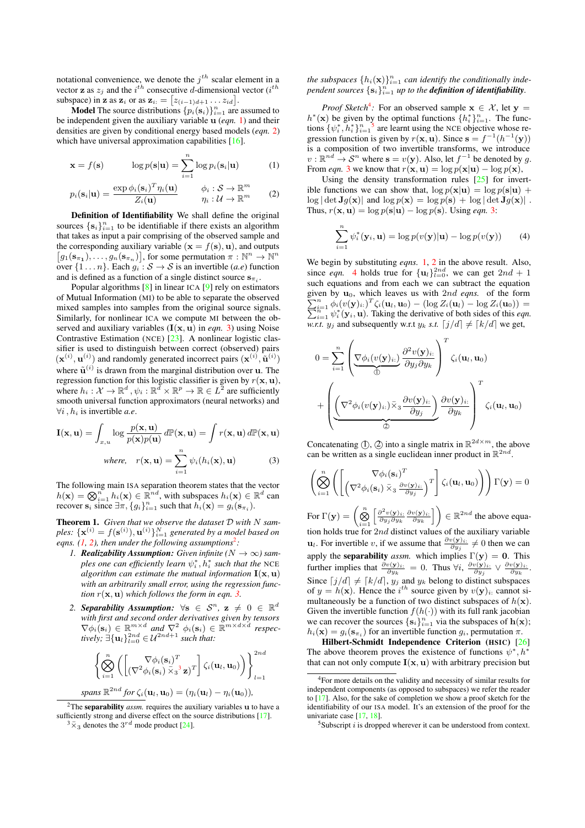notational convenience, we denote the  $j<sup>th</sup>$  scalar element in a vector **z** as  $z_j$  and the i<sup>th</sup> consecutive d-dimensional vector (i<sup>th</sup>) subspace) in **z** as  $\mathbf{z}_i$  or as  $\mathbf{z}_{i:} = [z_{(i-1)d+1} \dots z_{id}].$ 

**Model** The source distributions  ${p_i(\mathbf{s}_i)}_{i=1}^n$  are assumed to be independent given the auxiliary variable u (*eqn.* [1\)](#page-1-0) and their densities are given by conditional energy based models (*eqn.* [2\)](#page-1-1) which have universal approximation capabilities [\[16\]](#page-4-15).

$$
\mathbf{x} = f(\mathbf{s}) \qquad \log p(\mathbf{s}|\mathbf{u}) = \sum_{i=1}^{n} \log p_i(\mathbf{s}_i|\mathbf{u}) \qquad (1)
$$

$$
p_i(\mathbf{s}_i|\mathbf{u}) = \frac{\exp \phi_i(\mathbf{s}_i)^T \eta_i(\mathbf{u})}{Z_i(\mathbf{u})} \qquad \phi_i : \mathcal{S} \to \mathbb{R}^m \qquad (2)
$$

Definition of Identifiability We shall define the original sources  $\{s_i\}_{i=1}^n$  to be identifiable if there exists an algorithm that takes as input a pair comprising of the observed sample and the corresponding auxiliary variable ( $\mathbf{x} = f(\mathbf{s})$ ,  $\mathbf{u}$ ), and outputs  $[g_1(\mathbf{s}_{\pi_1}), \ldots, g_n(\mathbf{s}_{\pi_n})]$ , for some permutation  $\pi : \mathbb{N}^n \to \mathbb{N}^n$ over  $\{1 \dots n\}$ . Each  $g_i : S \to S$  is an invertible *(a.e)* function and is defined as a function of a single distinct source  $s_{\pi_i}$ .

Popular algorithms [\[8\]](#page-4-7) in linear ICA [\[9\]](#page-4-8) rely on estimators of Mutual Information (MI) to be able to separate the observed mixed samples into samples from the original source signals. Similarly, for nonlinear ICA we compute MI between the observed and auxiliary variables  $(I(x, u)$  in *eqn.* [3\)](#page-1-2) using Noise Contrastive Estimation (NCE) [\[23\]](#page-4-22). A nonlinear logistic classifier is used to distinguish between correct (observed) pairs  $(\mathbf{x}^{(i)}, \mathbf{u}^{(i)})$  and randomly generated incorrect pairs  $(\mathbf{x}^{(i)}, \tilde{\mathbf{u}}^{(i)})$ where  $\tilde{\mathbf{u}}^{(i)}$  is drawn from the marginal distribution over **u**. The regression function for this logistic classifier is given by  $r(\mathbf{x}, \mathbf{u})$ , where  $h_i: \mathcal{X} \to \mathbb{R}^d$ ,  $\psi_i: \mathbb{R}^{\bar{d}} \times \mathbb{R}^p \to \mathbb{R} \in L^{\bar{2}}$  are sufficiently smooth universal function approximators (neural networks) and  $\forall i$ ,  $h_i$  is invertible *a.e.* 

$$
\mathbf{I}(\mathbf{x}, \mathbf{u}) = \int_{x, u} \log \frac{p(\mathbf{x}, \mathbf{u})}{p(\mathbf{x}) p(\mathbf{u})} d\mathbb{P}(\mathbf{x}, \mathbf{u}) = \int r(\mathbf{x}, \mathbf{u}) d\mathbb{P}(\mathbf{x}, \mathbf{u})
$$
  
where,  $r(\mathbf{x}, \mathbf{u}) = \sum_{i=1}^{n} \psi_i(h_i(\mathbf{x}), \mathbf{u})$  (3)

The following main ISA separation theorem states that the vector  $h(\mathbf{x}) = \bigotimes_{i=1}^{n} h_i(\mathbf{x}) \in \mathbb{R}^{nd}$ , with subspaces  $h_i(\mathbf{x}) \in \mathbb{R}^d$  can recover  $\mathbf{s}_i$  since  $\exists \pi, \{g_i\}_{i=1}^n$  such that  $h_i(\mathbf{x}) = g_i(\mathbf{s}_{\pi_i})$ .

Theorem 1. *Given that we observe the dataset* D *with* N *sam*ples:  $\{\mathbf x^{(i)} = f(\mathbf s^{(i)}), \mathbf u^{(i)}\}_{i=1}^N$  generated by a model based on eqns.  $(1, 2)$  $(1, 2)$ , then under the following assumptions<sup>[2](#page-1-3)</sup>:

- *1. Realizability Assumption: Given infinite*  $(N \rightarrow \infty)$  sam*ples one can efficiently learn*  $\psi_i^*, h_i^*$  *such that the* NCE *algorithm can estimate the mutual information*  $I(x, u)$ *with an arbitrarily small error, using the regression function*  $r(\mathbf{x}, \mathbf{u})$  *which follows the form in eqn.* [3.](#page-1-2)
- 2. **Separability Assumption:**  $\forall s \in S^n$ ,  $z \neq 0 \in \mathbb{R}^d$ *with first and second order derivatives given by tensors*  $\nabla \phi_i(\mathbf{s}_i) \in \mathbb{R}^{m \times d}$  and  $\nabla^2 \phi_i(\mathbf{s}_i) \in \mathbb{R}^{m \times d \times d}$  respec*tively;*  $\exists {\mathbf{u}_l}_{l=0}^{2nd} \in \mathcal{U}^{2nd+1}$  *such that:*

$$
\left\{\bigotimes_{i=1}^n \left( \left[ \left( \nabla^2 \phi_i(\mathbf{s}_i)^T \right)_{\leq s} \mathbf{s}_i \mathbf{s}_i \right) \mathbf{z}_j \right] \zeta_i(\mathbf{u}_l, \mathbf{u}_0) \right) \right\}_{l=1}^{2nd}
$$

$$
spans \mathbb{R}^{2nd} \text{ for } \zeta_i(\mathbf{u}_l, \mathbf{u}_0) = (\eta_i(\mathbf{u}_l) - \eta_i(\mathbf{u}_0)),
$$

the subspaces  $\{h_i(\mathbf{x})\}_{i=1}^n$  can identify the conditionally independent sources  $\{ \mathbf{s}_i \}_{i=1}^n$  up to the **definition of identifiability**.

*Proof Sketch*<sup>[4](#page-1-5)</sup>: For an observed sample  $x \in \mathcal{X}$ , let  $y =$  $h^*(\mathbf{x})$  be given by the optimal functions  $\{h_i^*\}_{i=1}^n$ . The functions  $\{\psi_i^*, h_i^*\}_{i=1}^n$  are learnt using the NCE objective whose regression function is given by  $r(\mathbf{x}, \mathbf{u})$ . Since  $\mathbf{s} = f^{-1}(h^{-1}(\mathbf{y}))$ is a composition of two invertible transforms, we introduce  $v: \mathbb{R}^{nd} \to \mathcal{S}^n$  where  $\mathbf{s} = v(\mathbf{y})$ . Also, let  $f^{-1}$  be denoted by g. From *eqn.* [3](#page-1-2) we know that  $r(\mathbf{x}, \mathbf{u}) = \log p(\mathbf{x}|\mathbf{u}) - \log p(\mathbf{x}),$ 

<span id="page-1-1"></span><span id="page-1-0"></span>Using the density transformation rules  $\sqrt{25}$  for invertible functions we can show that,  $\log p(\mathbf{x}|\mathbf{u}) = \log p(\mathbf{s}|\mathbf{u}) +$  $\log |\det \mathbf{J}g(\mathbf{x})|$  and  $\log p(\mathbf{x}) = \log p(\mathbf{s}) + \log |\det \mathbf{J}g(\mathbf{x})|$ . Thus,  $r(\mathbf{x}, \mathbf{u}) = \log p(\mathbf{s}|\mathbf{u}) - \log p(\mathbf{s})$ . Using *eqn.* [3:](#page-1-2)

<span id="page-1-7"></span>
$$
\sum_{i=1}^{n} \psi_i^*(\mathbf{y}_i, \mathbf{u}) = \log p(v(\mathbf{y})|\mathbf{u}) - \log p(v(\mathbf{y})) \qquad (4)
$$

We begin by substituting *eqns.* [1,](#page-1-0) [2](#page-1-1) in the above result. Also, since *eqn.* [4](#page-1-7) holds true for  $\{u_l\}_{l=0}^{2nd}$ , we can get  $2nd + 1$ such equations and from each we can subtract the equation given by  $\mathbf{u}_0$ , which leaves us with 2nd eqns. of the form given by  $\mathbf{u}_0$ , which leaves us with 2nd *eqns*. of the form  $\sum_{i=1}^n \phi_i(v(\mathbf{y})_{i:})^T \zeta_i(\mathbf{u}_l, \mathbf{u}_0) - (\log Z_i(\mathbf{u}_l) - \log Z_i(\mathbf{u}_0)) =$ P  $\int_{i=1}^{n} \phi_i(v(\mathbf{y})_{i:})^T \zeta_i(\mathbf{u}_l, \mathbf{u}_0) - (\log Z_i(\mathbf{u}_l) - \log Z_i(\mathbf{u}_0)) =$ <br>  $\int_{i=1}^{n} \psi_i^*(\mathbf{y}_i, \mathbf{u})$ . Taking the derivative of both sides of this *eqn. w.r.t.*  $y_j$  and subsequently w.r.t  $y_k$  *s.t.*  $[j/d] \neq [k/d]$  we get,

$$
0 = \sum_{i=1}^{n} \left( \underbrace{\nabla \phi_i(v(\mathbf{y})_{i:})}_{\text{D}} \frac{\partial^2 v(\mathbf{y})_{i:}}{\partial y_j \partial y_k} \right)^T \zeta_i(\mathbf{u}_l, \mathbf{u}_0)
$$

$$
+ \left( \underbrace{\left( \nabla^2 \phi_i(v(\mathbf{y})_{i:}) \times_3 \frac{\partial v(\mathbf{y})_{i:}}{\partial y_j} \right)}_{\text{D}} \frac{\partial v(\mathbf{y})_{i:}}{\partial y_k} \right)^T \zeta_i(\mathbf{u}_l, \mathbf{u}_0)
$$

<span id="page-1-2"></span>Concatenating  $(1)$ ,  $(2)$  into a single matrix in  $\mathbb{R}^{2d \times m}$ , the above can be written as a single euclidean inner product in  $\mathbb{R}^{2nd}$ .

$$
\left(\bigotimes_{i=1}^n \left( \left[ \left( \nabla^2 \phi_i(\mathbf{s}_i) \overline{X}_3 \frac{\partial v(\mathbf{y})_i}{\partial y_j} \right)^T \right] \zeta_i(\mathbf{u}_l, \mathbf{u}_0) \right) \right) \Gamma(\mathbf{y}) = 0
$$

For  $\Gamma(\mathbf{y}) = \left(\bigotimes_{i=1}^n$  $\left[\frac{\partial^2 v(\mathbf{y})_{i:}}{\partial y_j \partial y_k} \frac{\partial v(\mathbf{y})_{i:}}{\partial y_k}\right]\bigg) \in \mathbb{R}^{2nd}$  the above equation holds true for 2nd distinct values of the auxiliary variable  $\mathbf{u}_l$ . For invertible v, if we assume that  $\frac{\partial v(\mathbf{y})_{i:}}{\partial y_j} \neq 0$  then we can apply the **separability** *assm.* which implies  $\Gamma(y) = 0$ . This further implies that  $\frac{\partial v(\mathbf{y})_{i:}}{\partial y_k} = 0$ . Thus  $\forall i$ ,  $\frac{\partial v(\mathbf{y})_{i:}}{\partial y_j} \vee \frac{\partial v(\mathbf{y})_{i:}}{\partial y_k}$ . Since  $[j/d] \neq [k/d]$ ,  $y_j$  and  $y_k$  belong to distinct subspaces of  $y = h(\mathbf{x})$ . Hence the  $i^{th}$  source given by  $v(\mathbf{y})_{i:}$  cannot simultaneously be a function of two distinct subspaces of  $h(\mathbf{x})$ . Given the invertible function  $f(h(\cdot))$  with its full rank jacobian we can recover the sources  $\{s_i\}_{i=1}^n$  via the subspaces of  $h(x)$ ;  $h_i(\mathbf{x}) = g_i(\mathbf{s}_{\pi_i})$  for an invertible function  $g_i$ , permutation  $\pi$ .

Hilbert-Schmidt Independence Criterion (HSIC) [\[26\]](#page-4-25) The above theorem proves the existence of functions  $\psi^*, h^*$ that can not only compute  $I(x, u)$  with arbitrary precision but

<span id="page-1-3"></span><sup>&</sup>lt;sup>2</sup>The **separability** *assm.* requires the auxiliary variables **u** to have a sufficiently strong and diverse effect on the source distributions [\[17\]](#page-4-16).

<span id="page-1-4"></span> $3\overline{\times}_3$  denotes the  $3^{rd}$  mode product [\[24\]](#page-4-23).

<span id="page-1-5"></span><sup>4</sup>For more details on the validity and necessity of similar results for independent components (as opposed to subspaces) we refer the reader to [\[17\]](#page-4-16). Also, for the sake of completion we show a proof sketch for the identifiability of our ISA model. It's an extension of the proof for the univariate case [\[17,](#page-4-16) [18\]](#page-4-17).

<span id="page-1-6"></span> $5$ Subscript i is dropped wherever it can be understood from context.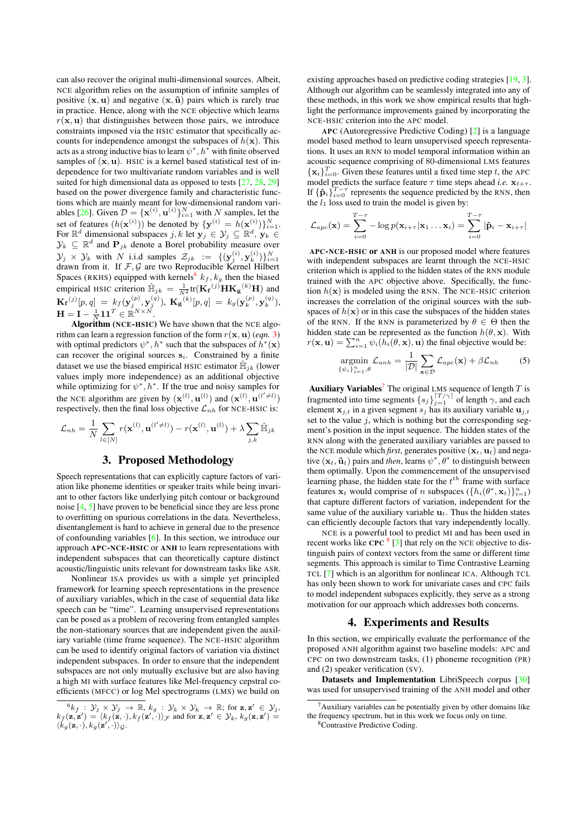can also recover the original multi-dimensional sources. Albeit, NCE algorithm relies on the assumption of infinite samples of positive  $(x, u)$  and negative  $(x, \tilde{u})$  pairs which is rarely true in practice. Hence, along with the NCE objective which learns  $r(\mathbf{x}, \mathbf{u})$  that distinguishes between those pairs, we introduce constraints imposed via the HSIC estimator that specifically accounts for independence amongst the subspaces of  $h(\mathbf{x})$ . This acts as a strong inductive bias to learn  $\psi^*, h^*$  with finite observed samples of  $(x, u)$ . HSIC is a kernel based statistical test of independence for two multivariate random variables and is well suited for high dimensional data as opposed to tests [\[27,](#page-4-26) [28,](#page-4-27) [29\]](#page-4-28) based on the power divergence family and characteristic functions which are mainly meant for low-dimensional random vari-ables [\[26\]](#page-4-25). Given  $\mathcal{D} = {\mathbf{x}^{(i)}, \mathbf{u}^{(i)}}_{i=1}^N$  with N samples, let the set of features  $(h(\mathbf{x}^{(i)}))$  be denoted by  $\{\mathbf{y}^{(i)} = h(\mathbf{x}^{(i)})\}_{i=1}^N$ . For  $\mathbb{R}^d$  dimensional subspaces  $j, k$  let  $\mathbf{y}_j \in \mathcal{Y}_j \subseteq \mathbb{R}^d$ ,  $\mathbf{y}_k \in$  $\mathcal{Y}_k \subseteq \mathbb{R}^d$  and  $\mathbf{P}_{jk}$  denote a Borel probability measure over  $\mathcal{Y}_j \times \mathcal{Y}_k$  with N i.i.d samples  $\mathcal{Z}_{jk} := \{ (\mathbf{y}_j^{(i)}, \mathbf{y}_k^{(i)}) \}_{i=1}^N$ <br>drawn from it. If  $\mathcal{F}, \mathcal{G}$  are two Reproducible Kernel Hilbert Spaces (RKHS) equipped with kernels<sup>[6](#page-2-0)</sup>  $k_f$ ,  $k_g$  then the biased empirical HSIC criterion  $\hat{\mathbb{H}}_{jk} = \frac{1}{N^2} \text{tr}(\mathbf{K_f}^{(j)} \mathbf{HK_g}^{(k)} \mathbf{H})$  and  $\mathbf{K_f}^{(j)}[p,q] \ = \ k_f(\mathbf{y}_{j}^{(p)},\mathbf{y}_{j}^{(q)}), \ \mathbf{K_g}^{(k)}[p,q] \ = \ k_g(\mathbf{y}_{k}^{(p)},\mathbf{y}_{k}^{(q)}),$  $\mathbf{H} = \mathbf{I} - \frac{1}{N} \mathbf{1} \mathbf{1}^T \in \mathbb{R}^{N \times N}.$ 

Algorithm (NCE-HSIC) We have shown that the NCE algorithm can learn a regression function of the form  $r(\mathbf{x}, \mathbf{u})$  (eqn. [3\)](#page-1-2) with optimal predictors  $\psi^*$ ,  $h^*$  such that the subspaces of  $h^*(\mathbf{x})$ can recover the original sources  $s_i$ . Constrained by a finite dataset we use the biased empirical HSIC estimator  $\mathbb{H}_{ik}$  (lower values imply more independence) as an additional objective while optimizing for  $\psi^*$ ,  $h^*$ . If the true and noisy samples for the NCE algorithm are given by  $(\mathbf{x}^{(l)}, \mathbf{u}^{(l)})$  and  $(\mathbf{x}^{(l)}, \mathbf{u}^{(l')\neq l})$ respectively, then the final loss objective  $\mathcal{L}_{nh}$  for NCE-HSIC is:

$$
\mathcal{L}_{nh} = \frac{1}{N} \sum_{l \in [N]} r(\mathbf{x}^{(l)}, \mathbf{u}^{(l' \neq l)}) - r(\mathbf{x}^{(l)}, \mathbf{u}^{(l)}) + \lambda \sum_{j,k} \hat{\mathbb{H}}_{jk}
$$

#### 3. Proposed Methodology

Speech representations that can explicitly capture factors of variation like phoneme identities or speaker traits while being invariant to other factors like underlying pitch contour or background noise [\[4,](#page-4-3) [5\]](#page-4-4) have proven to be beneficial since they are less prone to overfitting on spurious correlations in the data. Nevertheless, disentanglement is hard to achieve in general due to the presence of confounding variables [\[6\]](#page-4-5). In this section, we introduce our approach APC-NCE-HSIC or ANH to learn representations with independent subspaces that can theoretically capture distinct acoustic/linguistic units relevant for downstream tasks like ASR.

Nonlinear ISA provides us with a simple yet principled framework for learning speech representations in the presence of auxiliary variables, which in the case of sequential data like speech can be "time". Learning unsupervised representations can be posed as a problem of recovering from entangled samples the non-stationary sources that are independent given the auxiliary variable (time frame sequence). The NCE-HSIC algorithm can be used to identify original factors of variation via distinct independent subspaces. In order to ensure that the independent subspaces are not only mutually exclusive but are also having a high MI with surface features like Mel-frequency cepstral coefficients (MFCC) or log Mel spectrograms (LMS) we build on existing approaches based on predictive coding strategies [\[19,](#page-4-18) [3\]](#page-4-2). Although our algorithm can be seamlessly integrated into any of these methods, in this work we show empirical results that highlight the performance improvements gained by incorporating the NCE-HSIC criterion into the APC model.

APC (Autoregressive Predictive Coding) [\[2\]](#page-4-1) is a language model based method to learn unsupervised speech representations. It uses an RNN to model temporal information within an acoustic sequence comprising of 80-dimensional LMS features  ${x_i}_{i=0}^T$ . Given these features until a fixed time step t, the APC model predicts the surface feature  $\tau$  time steps ahead *i.e.*  $\mathbf{x}_{t+\tau}$ . If  $\{\hat{\mathbf{p}}_i\}_{i=0}^{T-\tau}$  represents the sequence predicted by the RNN, then the  $l_1$  loss used to train the model is given by:

$$
\mathcal{L}_{apc}(\mathbf{x}) = \sum_{i=0}^{T-\tau} -\log p(\mathbf{x}_{i+\tau}|\mathbf{x}_1 \dots \mathbf{x}_i) = \sum_{i=0}^{T-\tau} |\hat{\mathbf{p}}_i - \mathbf{x}_{i+\tau}|
$$

APC-NCE-HSIC or ANH is our proposed model where features with independent subspaces are learnt through the NCE-HSIC criterion which is applied to the hidden states of the RNN module trained with the APC objective above. Specifically, the function  $h(\mathbf{x})$  is modeled using the RNN. The NCE-HSIC criterion increases the correlation of the original sources with the subspaces of  $h(\mathbf{x})$  or in this case the subspaces of the hidden states of the RNN. If the RNN is parameterized by  $\theta \in \Theta$  then the hidden state can be represented as the function  $h(\theta, \mathbf{x})$ . With  $r(\mathbf{x}, \mathbf{u}) = \sum_{i=1}^{n} \psi_i(h_i(\theta, \mathbf{x}), \mathbf{u})$  the final objective would be:

$$
\underset{\{\psi_i\}_{i=1}^n,\theta}{\text{argmin}} \mathcal{L}_{anh} = \frac{1}{|\mathcal{D}|} \sum_{\mathbf{x}\in\mathcal{D}} \mathcal{L}_{apc}(\mathbf{x}) + \beta \mathcal{L}_{nh} \tag{5}
$$

Auxiliary Variables<sup>[7](#page-2-1)</sup> The original LMS sequence of length  $T$  is fragmented into time segments  $\{s_j\}_{j=1}^{\lceil T/\gamma \rceil}$  of length  $\gamma$ , and each element  $x_{i,t}$  in a given segment  $s_i$  has its auxiliary variable  $u_{i,t}$ set to the value  $j$ , which is nothing but the corresponding segment's position in the input sequence. The hidden states of the RNN along with the generated auxiliary variables are passed to the NCE module which *first*, generates positive  $(\mathbf{x}_t, \mathbf{u}_t)$  and negative  $(\mathbf{x}_t, \mathbf{\tilde{u}}_t)$  pairs and *then*, learns  $\psi^*, \theta^*$  to distinguish between them optimally. Upon the commencement of the unsupervised learning phase, the hidden state for the  $t^{th}$  frame with surface features  $\mathbf{x}_t$  would comprise of n subspaces  $(\lbrace h_i(\theta^*, \mathbf{x}_t) \rbrace_{i=1}^n)$ that capture different factors of variation, independent for the same value of the auxiliary variable  $\mathbf{u}_t$ . Thus the hidden states can efficiently decouple factors that vary independently locally.

NCE is a powerful tool to predict MI and has been used in recent works like CPC  $<sup>8</sup>$  $<sup>8</sup>$  $<sup>8</sup>$  [\[3\]](#page-4-2) that rely on the NCE objective to dis-</sup> tinguish pairs of context vectors from the same or different time segments. This approach is similar to Time Contrastive Learning TCL [\[7\]](#page-4-6) which is an algorithm for nonlinear ICA. Although TCL has only been shown to work for univariate cases and CPC fails to model independent subspaces explicitly, they serve as a strong motivation for our approach which addresses both concerns.

#### 4. Experiments and Results

In this section, we empirically evaluate the performance of the proposed ANH algorithm against two baseline models: APC and CPC on two downstream tasks, (1) phoneme recognition (PR) and (2) speaker verification (SV).

Datasets and Implementation LibriSpeech corpus [\[30\]](#page-4-29) was used for unsupervised training of the ANH model and other

<span id="page-2-2"></span><sup>8</sup>Contrastive Predictive Coding.

<span id="page-2-0"></span> ${}^6k_f$  :  $\mathcal{Y}_j \times \mathcal{Y}_j \to \mathbb{R}$ ,  $k_g$  :  $\mathcal{Y}_k \times \mathcal{Y}_k \to \mathbb{R}$ ; for  $\mathbf{z}, \mathbf{z}' \in \mathcal{Y}_j$ ,  $k_f(\mathbf{z}, \mathbf{z}') = \langle k_f(\mathbf{z}, \cdot), k_f(\mathbf{z}', \cdot) \rangle \neq \text{ and for } \mathbf{z}, \mathbf{z}' \in \mathcal{Y}_k, k_g(\mathbf{z}, \mathbf{z}') =$  $\langle \overset{\cdot}{k}_{g}(\mathbf{z},\cdot), \overset{\cdot}{k}_{g}(\mathbf{z}',\cdot)\rangle_{\mathcal{G}}.$ 

<span id="page-2-1"></span> $<sup>7</sup>$ Auxiliary variables can be potentially given by other domains like</sup> the frequency spectrum, but in this work we focus only on time.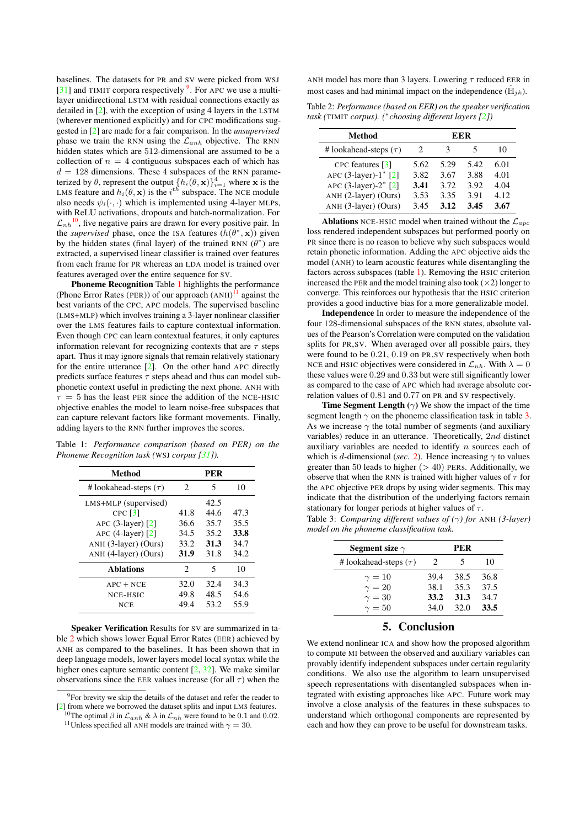baselines. The datasets for PR and SV were picked from WSJ [\[31\]](#page-4-30) and TIMIT corpora respectively <sup>[9](#page-3-0)</sup>. For APC we use a multilayer unidirectional LSTM with residual connections exactly as detailed in [\[2\]](#page-4-1), with the exception of using 4 layers in the LSTM (wherever mentioned explicitly) and for CPC modifications suggested in [\[2\]](#page-4-1) are made for a fair comparison. In the *unsupervised* phase we train the RNN using the  $\mathcal{L}_{anh}$  objective. The RNN hidden states which are 512-dimensional are assumed to be a collection of  $n = 4$  contiguous subspaces each of which has  $d = 128$  dimensions. These 4 subspaces of the RNN parameterized by  $\theta$ , represent the output  $\{h_i(\theta, \mathbf{x})\}_{i=1}^4$  where  $\mathbf x$  is the LMS feature and  $h_i(\theta, \mathbf{x})$  is the  $i^{th}$  subspace. The NCE module also needs  $\psi_i(\cdot, \cdot)$  which is implemented using 4-layer MLPs, with ReLU activations, dropouts and batch-normalization. For  $\mathcal{L}_{nh}$ <sup>[10](#page-3-1)</sup>, five negative pairs are drawn for every positive pair. In the *supervised* phase, once the ISA features  $(h(\theta^*, \mathbf{x}))$  given by the hidden states (final layer) of the trained RNN  $(\theta^*)$  are extracted, a supervised linear classifier is trained over features from each frame for PR whereas an LDA model is trained over features averaged over the entire sequence for SV.

Phoneme Recognition Table [1](#page-3-2) highlights the performance (Phone Error Rates (PER)) of our approach  $(ANH)^{11}$  $(ANH)^{11}$  $(ANH)^{11}$  against the best variants of the CPC, APC models. The supervised baseline (LMS+MLP) which involves training a 3-layer nonlinear classifier over the LMS features fails to capture contextual information. Even though CPC can learn contextual features, it only captures information relevant for recognizing contexts that are  $\tau$  steps apart. Thus it may ignore signals that remain relatively stationary for the entire utterance [\[2\]](#page-4-1). On the other hand APC directly predicts surface features  $\tau$  steps ahead and thus can model subphonetic context useful in predicting the next phone. ANH with  $\tau = 5$  has the least PER since the addition of the NCE-HSIC objective enables the model to learn noise-free subspaces that can capture relevant factors like formant movements. Finally, adding layers to the RNN further improves the scores.

<span id="page-3-2"></span>Table 1: *Performance comparison (based on PER) on the Phoneme Recognition task (*WSJ *corpus [\[31\]](#page-4-30)).*

| <b>Method</b>              | <b>PER</b>     |      |      |  |
|----------------------------|----------------|------|------|--|
| # lookahead-steps $(\tau)$ | 2              | 5    | 10   |  |
| LMS+MLP (supervised)       |                | 42.5 |      |  |
| CPC $\lceil 3 \rceil$      | 41.8           | 44.6 | 47.3 |  |
| APC $(3$ -layer) $[2]$     | 36.6           | 35.7 | 35.5 |  |
| APC $(4$ -layer $)[2]$     | 34.5           | 35.2 | 33.8 |  |
| ANH (3-layer) (Ours)       | 33.2           | 31.3 | 34.7 |  |
| ANH (4-layer) (Ours)       | 31.9           | 31.8 | 34.2 |  |
| <b>Ablations</b>           | $\mathfrak{D}$ | 5    | 10   |  |
| $APC + NCE$                | 32.0           | 32.4 | 34.3 |  |
| NCE-HSIC                   | 49.8           | 48.5 | 54.6 |  |
| NCE                        | 49.4           | 53.2 | 55.9 |  |

Speaker Verification Results for SV are summarized in table [2](#page-3-4) which shows lower Equal Error Rates (EER) achieved by ANH as compared to the baselines. It has been shown that in deep language models, lower layers model local syntax while the higher ones capture semantic content  $[2, 32]$  $[2, 32]$ . We make similar observations since the EER values increase (for all  $\tau$ ) when the ANH model has more than 3 layers. Lowering  $\tau$  reduced EER in most cases and had minimal impact on the independence ( $\hat{H}_{ik}$ ).

<span id="page-3-4"></span>Table 2: *Performance (based on EER) on the speaker verification task (*TIMIT *corpus). (*<sup>∗</sup> *choosing different layers [\[2\]](#page-4-1))*

| Method                                                       | EER                         |              |              |              |  |
|--------------------------------------------------------------|-----------------------------|--------------|--------------|--------------|--|
| # lookahead-steps $(\tau)$                                   | $\mathcal{D}_{\mathcal{L}}$ | 3            |              | 10           |  |
| CPC features $\lceil 3 \rceil$                               | 5.62                        | 5.29         | 5.42         | 6.01         |  |
| APC $(3-layer)-1$ <sup>*</sup> [2]<br>APC $(3-layer)-2^*[2]$ | 3.82<br>3.41                | 3.67<br>3.72 | 3.88<br>3.92 | 4.01<br>4.04 |  |
| ANH $(2-layer)$ (Ours)<br>ANH (3-layer) (Ours)               | 3.53<br>3.45                | 3.35<br>3.12 | 3.91<br>3.45 | 4.12<br>3.67 |  |

**Ablations** NCE-HSIC model when trained without the  $\mathcal{L}_{\text{arc}}$ loss rendered independent subspaces but performed poorly on PR since there is no reason to believe why such subspaces would retain phonetic information. Adding the APC objective aids the model (ANH) to learn acoustic features while disentangling the factors across subspaces (table [1\)](#page-3-2). Removing the HSIC criterion increased the PER and the model training also took  $(\times 2)$  longer to converge. This reinforces our hypothesis that the HSIC criterion provides a good inductive bias for a more generalizable model.

Independence In order to measure the independence of the four 128-dimensional subspaces of the RNN states, absolute values of the Pearson's Correlation were computed on the validation splits for PR,SV. When averaged over all possible pairs, they were found to be 0.21, 0.19 on PR,SV respectively when both NCE and HSIC objectives were considered in  $\mathcal{L}_{nh}$ . With  $\lambda = 0$ these values were 0.29 and 0.33 but were still significantly lower as compared to the case of APC which had average absolute correlation values of 0.81 and 0.77 on PR and SV respectively.

**Time Segment Length** ( $\gamma$ ) We show the impact of the time segment length  $\gamma$  on the phoneme classification task in table [3.](#page-3-5) As we increase  $\gamma$  the total number of segments (and auxiliary variables) reduce in an utterance. Theoretically, 2nd distinct auxiliary variables are needed to identify  $n$  sources each of which is d-dimensional (*sec.* [2\)](#page-0-1). Hence increasing  $\gamma$  to values greater than 50 leads to higher  $(> 40)$  PERs. Additionally, we observe that when the RNN is trained with higher values of  $\tau$  for the APC objective PER drops by using wider segments. This may indicate that the distribution of the underlying factors remain stationary for longer periods at higher values of  $\tau$ .

<span id="page-3-5"></span>Table 3: *Comparing different values of (*γ*) for* ANH *(3-layer) model on the phoneme classification task.*

| Segment size $\gamma$      | PER                         |      |      |  |
|----------------------------|-----------------------------|------|------|--|
| # lookahead-steps $(\tau)$ | $\mathcal{D}_{\mathcal{L}}$ | 5    | 10   |  |
| $\gamma=10$                | 39.4                        | 38.5 | 36.8 |  |
| $\gamma=20$                | 38.1                        | 35.3 | 37.5 |  |
| $\gamma=30$                | 33.2                        | 31.3 | 34.7 |  |
| $\gamma=50$                | 34.0                        | 32.O | 33.5 |  |

## 5. Conclusion

We extend nonlinear ICA and show how the proposed algorithm to compute MI between the observed and auxiliary variables can provably identify independent subspaces under certain regularity conditions. We also use the algorithm to learn unsupervised speech representations with disentangled subspaces when integrated with existing approaches like APC. Future work may involve a close analysis of the features in these subspaces to understand which orthogonal components are represented by each and how they can prove to be useful for downstream tasks.

<span id="page-3-0"></span><sup>9</sup>For brevity we skip the details of the dataset and refer the reader to [\[2\]](#page-4-1) from where we borrowed the dataset splits and input LMS features.

<span id="page-3-3"></span><span id="page-3-1"></span><sup>&</sup>lt;sup>10</sup>The optimal  $\beta$  in  $\mathcal{L}_{anh}$  &  $\lambda$  in  $\mathcal{L}_{nh}$  were found to be 0.1 and 0.02. <sup>11</sup>Unless specified all ANH models are trained with  $\gamma = 30$ .